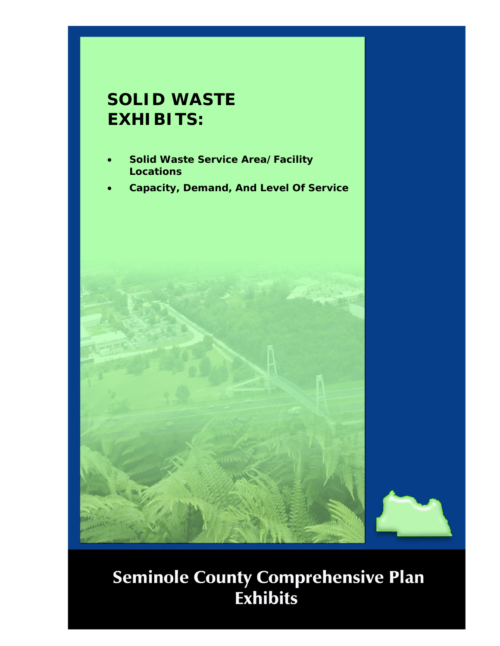## **SOLID WASTE EXHIBITS:**

- **Solid Waste Service Area/Facility Locations**
- **Capacity, Demand, And Level Of Service**



## **Seminole County Comprehensive Plan<br>Exhibits**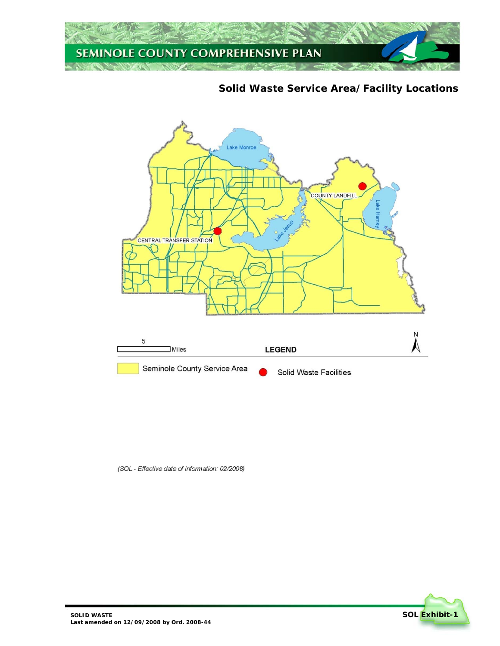

**Solid Waste Service Area/Facility Locations** 



(SOL - Effective date of information: 02/2008)